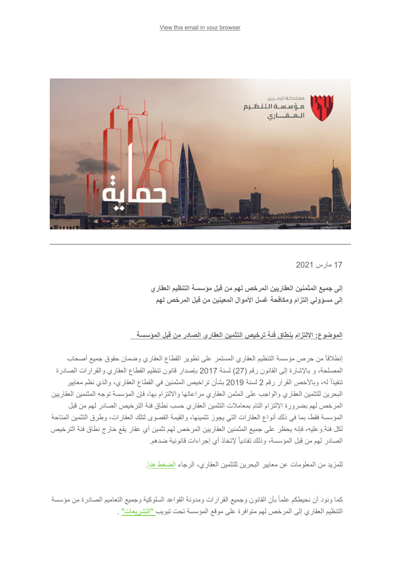

17 مارس 2021

**إلى جمیع المثمنین العقاریین المرخص لھم من قبل مؤسسة التنظیم العقاري إلى مسؤولي إلتزام ومكافحة غسل الأموال المعینین من قبل المرخص لھم** 

## **الموضوع: الإلتزام بنطاق فئة ترخیص التثمین العقاري الصادر من قبل المؤسسة**

إنطلاقاً من حرص مؤسسة التنظیم العقاري المستمر على تطویر القطاع العقاري وضمان حقوق جمیع أصحاب المصلحة، و بالإشارة إلى القانون رقم (27) لسنة 2017 بإصدار قانون تنظیم القطاع العقاري والقرارات الصادرة تنفیذاً لھ، وبالأخص القرار رقم 2 لسنة 2019 بشأن تراخیص المثمنین في القطاع العقاري، والذي نظم معاییر البحرین للتثمین العقاري والواجب على المثمن العقاري مراعاتھا والالتزام بھا، فإن المؤسسة توجھ المثنمین العقاریین المرخص لھم بضرورة الإلتزام التام بمعاملات التثمین العقاري حسب نطاق فئة الترخیص الصادر لھم من قبل المؤسسة فقط، بما في ذلك أنواع العقارات التي یجوز تثمینھا، والقیمة القصوى لتلك العقارات، وطرق التثمین المتاحة لكل فئة.وعلیھ، فإنھ یحظر على جمیع المثمنین العقاریین المرخص لھم تثمین أي عقار یقع خارج نطاق فئة الترخیص الصادر لھم من قبل المؤسسة، وذلك تفادیاً لإتخاذ أي إجراءات قانونیة ضدھم.

للمزید من المعلومات عن معاییر البحرین للتثمین العقاري، الرجاء <u>الضغط هنا</u>.

كما ونود أن نحیطكم علماً بأن القانون وجمیع القرارات ومدونة القواعد السلوكیة وجمیع التعامیم الصادرة من مؤسسة التنظیم العقاري إلى المرخص لھم متوافرة على موقع المؤسسة تحت تبویب ["التشریعات"](https://www.rera.gov.bh/category/regulations) .